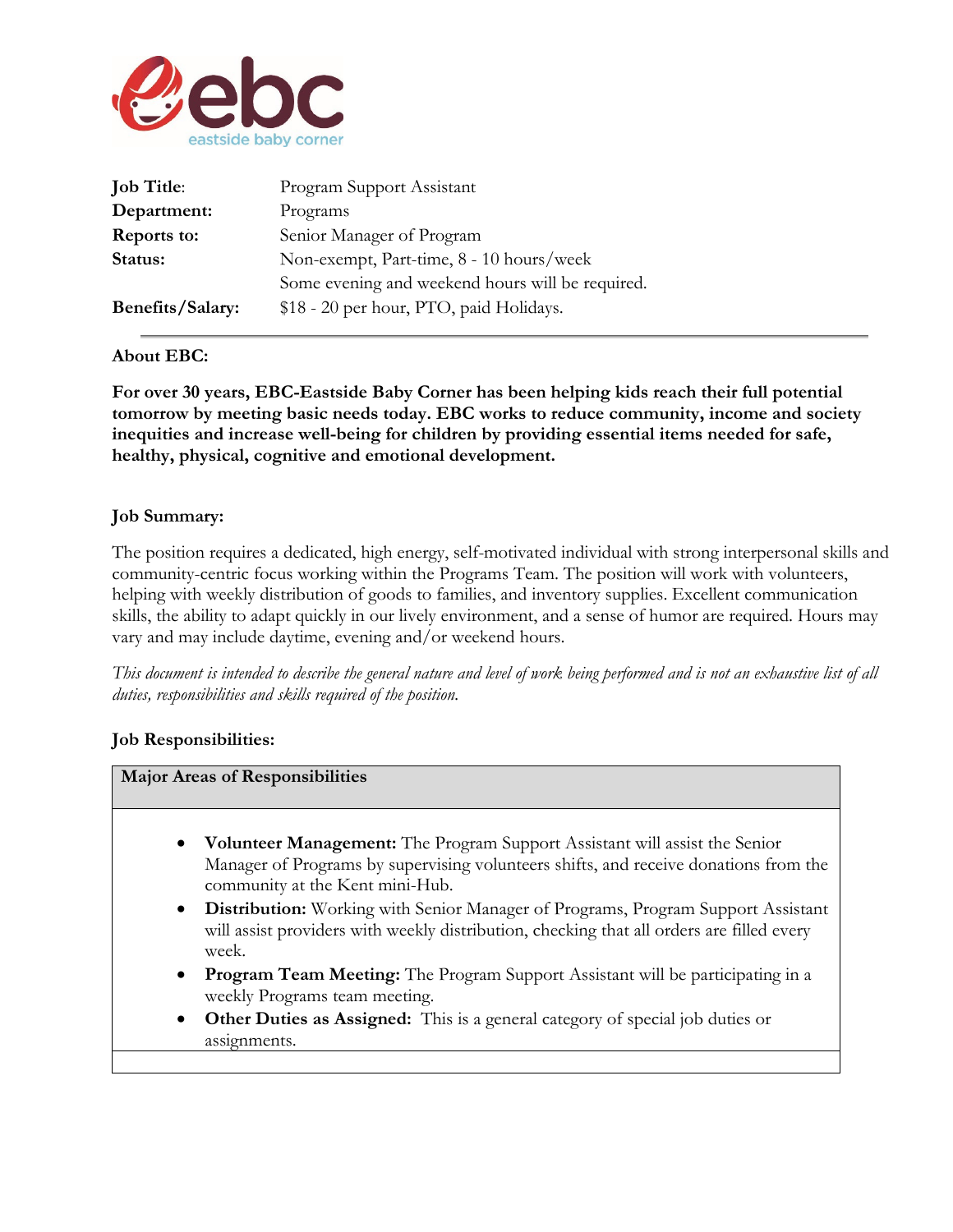

| <b>Job Title:</b>       | Program Support Assistant                        |
|-------------------------|--------------------------------------------------|
| Department:             | Programs                                         |
| Reports to:             | Senior Manager of Program                        |
| Status:                 | Non-exempt, Part-time, 8 - 10 hours/week         |
|                         | Some evening and weekend hours will be required. |
| <b>Benefits/Salary:</b> | \$18 - 20 per hour, PTO, paid Holidays.          |

## **About EBC:**

**For over 30 years, EBC-Eastside Baby Corner has been helping kids reach their full potential tomorrow by meeting basic needs today. EBC works to reduce community, income and society inequities and increase well-being for children by providing essential items needed for safe, healthy, physical, cognitive and emotional development.**

## **Job Summary:**

The position requires a dedicated, high energy, self-motivated individual with strong interpersonal skills and community-centric focus working within the Programs Team. The position will work with volunteers, helping with weekly distribution of goods to families, and inventory supplies. Excellent communication skills, the ability to adapt quickly in our lively environment, and a sense of humor are required. Hours may vary and may include daytime, evening and/or weekend hours.

*This document is intended to describe the general nature and level of work being performed and is not an exhaustive list of all duties, responsibilities and skills required of the position.* 

## **Job Responsibilities:**